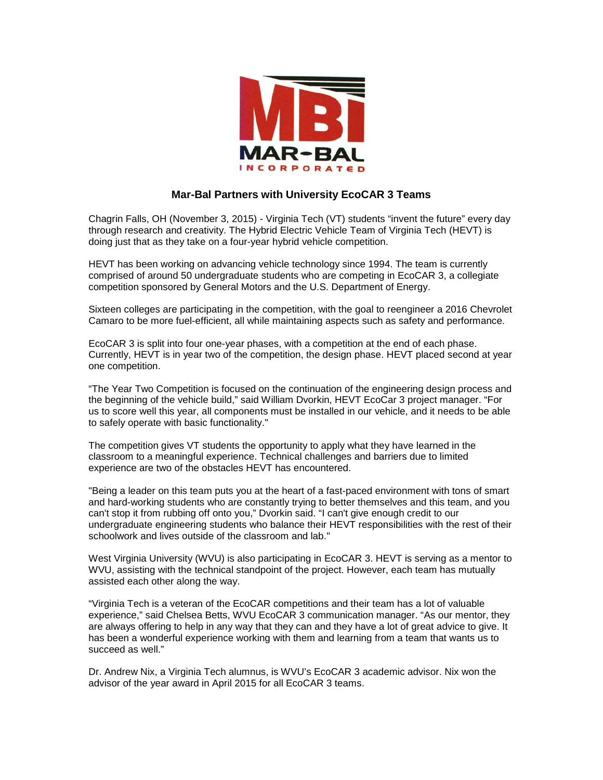

## **Mar-Bal Partners with University EcoCAR 3 Teams**

Chagrin Falls, OH (November 3, 2015) - Virginia Tech (VT) students "invent the future" every day through research and creativity. The Hybrid Electric Vehicle Team of Virginia Tech (HEVT) is doing just that as they take on a four-year hybrid vehicle competition.

HEVT has been working on advancing vehicle technology since 1994. The team is currently comprised of around 50 undergraduate students who are competing in EcoCAR 3, a collegiate competition sponsored by General Motors and the U.S. Department of Energy.

Sixteen colleges are participating in the competition, with the goal to reengineer a 2016 Chevrolet Camaro to be more fuel-efficient, all while maintaining aspects such as safety and performance.

EcoCAR 3 is split into four one-year phases, with a competition at the end of each phase. Currently, HEVT is in year two of the competition, the design phase. HEVT placed second at year one competition.

"The Year Two Competition is focused on the continuation of the engineering design process and the beginning of the vehicle build," said William Dvorkin, HEVT EcoCar 3 project manager. "For us to score well this year, all components must be installed in our vehicle, and it needs to be able to safely operate with basic functionality."

The competition gives VT students the opportunity to apply what they have learned in the classroom to a meaningful experience. Technical challenges and barriers due to limited experience are two of the obstacles HEVT has encountered.

"Being a leader on this team puts you at the heart of a fast-paced environment with tons of smart and hard-working students who are constantly trying to better themselves and this team, and you can't stop it from rubbing off onto you," Dvorkin said. "I can't give enough credit to our undergraduate engineering students who balance their HEVT responsibilities with the rest of their schoolwork and lives outside of the classroom and lab."

West Virginia University (WVU) is also participating in EcoCAR 3. HEVT is serving as a mentor to WVU, assisting with the technical standpoint of the project. However, each team has mutually assisted each other along the way.

"Virginia Tech is a veteran of the EcoCAR competitions and their team has a lot of valuable experience," said Chelsea Betts, WVU EcoCAR 3 communication manager. "As our mentor, they are always offering to help in any way that they can and they have a lot of great advice to give. It has been a wonderful experience working with them and learning from a team that wants us to succeed as well."

Dr. Andrew Nix, a Virginia Tech alumnus, is WVU's EcoCAR 3 academic advisor. Nix won the advisor of the year award in April 2015 for all EcoCAR 3 teams.